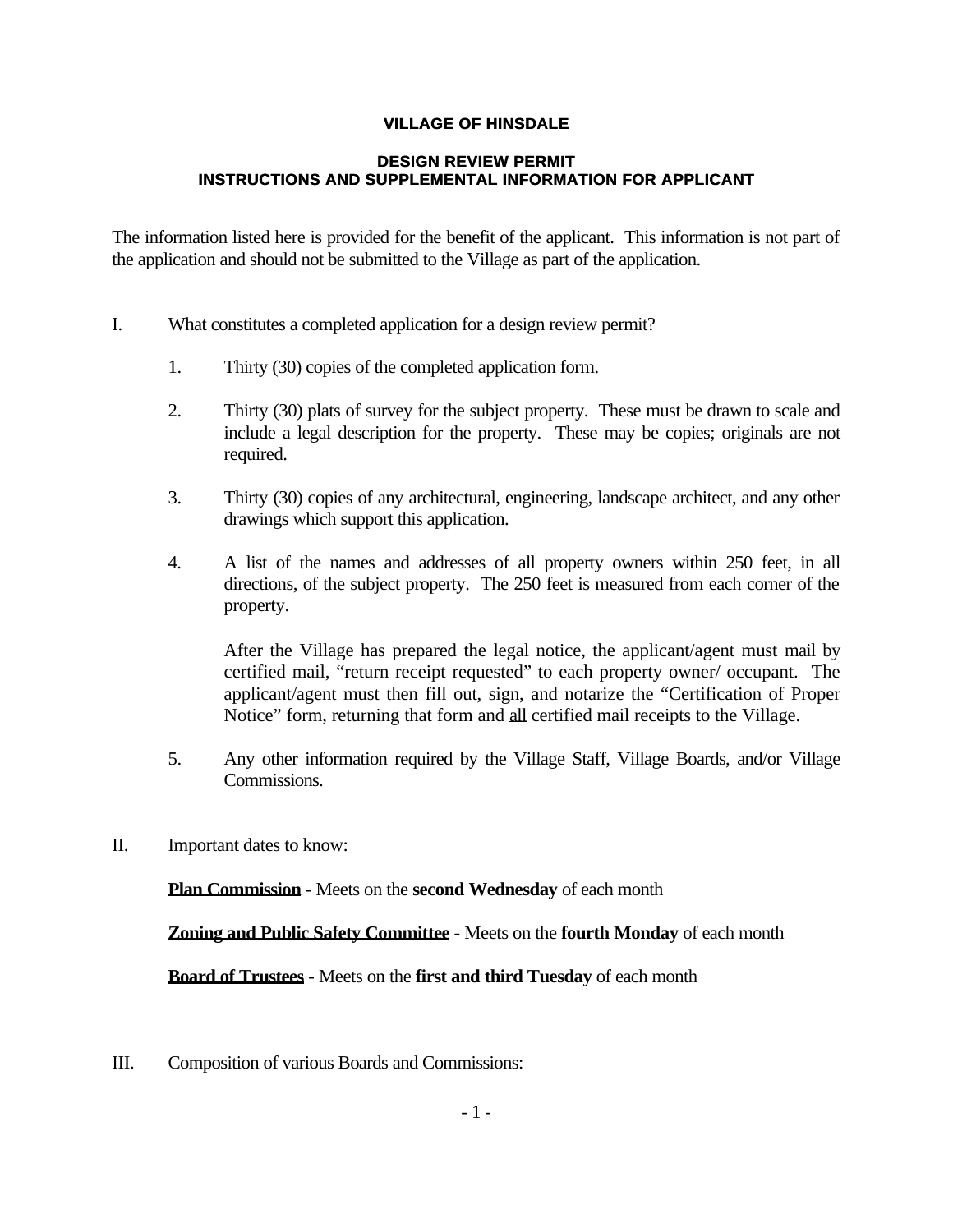## **VILLAGE OF HINSDALE**

## **DESIGN REVIEW PERMIT INSTRUCTIONS AND SUPPLEMENTAL INFORMATION FOR APPLICANT**

The information listed here is provided for the benefit of the applicant. This information is not part of the application and should not be submitted to the Village as part of the application.

- I. What constitutes a completed application for a design review permit?
	- 1. Thirty (30) copies of the completed application form.
	- 2. Thirty (30) plats of survey for the subject property. These must be drawn to scale and include a legal description for the property. These may be copies; originals are not required.
	- 3. Thirty (30) copies of any architectural, engineering, landscape architect, and any other drawings which support this application.
	- 4. A list of the names and addresses of all property owners within 250 feet, in all directions, of the subject property. The 250 feet is measured from each corner of the property.

After the Village has prepared the legal notice, the applicant/agent must mail by certified mail, "return receipt requested" to each property owner/ occupant. The applicant/agent must then fill out, sign, and notarize the "Certification of Proper Notice" form, returning that form and all certified mail receipts to the Village.

- 5. Any other information required by the Village Staff, Village Boards, and/or Village Commissions.
- II. Important dates to know:

**Plan Commission** - Meets on the **second Wednesday** of each month

**Zoning and Public Safety Committee** - Meets on the **fourth Monday** of each month

**Board of Trustees** - Meets on the **first and third Tuesday** of each month

III. Composition of various Boards and Commissions: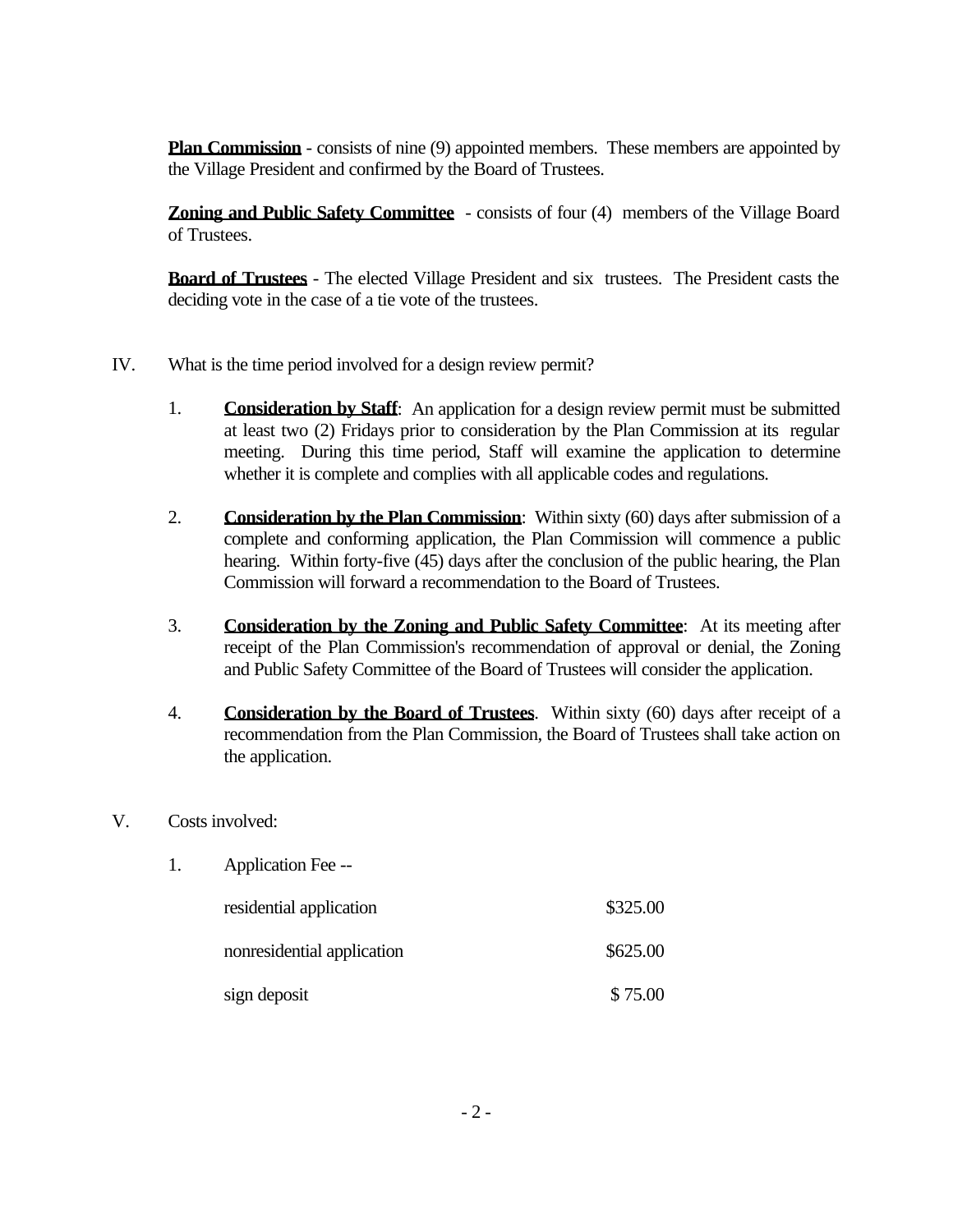**Plan Commission** - consists of nine (9) appointed members. These members are appointed by the Village President and confirmed by the Board of Trustees.

**Zoning and Public Safety Committee** - consists of four (4) members of the Village Board of Trustees.

**Board of Trustees** - The elected Village President and six trustees. The President casts the deciding vote in the case of a tie vote of the trustees.

- IV. What is the time period involved for a design review permit?
	- 1. **Consideration by Staff**: An application for a design review permit must be submitted at least two (2) Fridays prior to consideration by the Plan Commission at its regular meeting. During this time period, Staff will examine the application to determine whether it is complete and complies with all applicable codes and regulations.
	- 2. **Consideration by the Plan Commission**: Within sixty (60) days after submission of a complete and conforming application, the Plan Commission will commence a public hearing. Within forty-five (45) days after the conclusion of the public hearing, the Plan Commission will forward a recommendation to the Board of Trustees.
	- 3. **Consideration by the Zoning and Public Safety Committee**: At its meeting after receipt of the Plan Commission's recommendation of approval or denial, the Zoning and Public Safety Committee of the Board of Trustees will consider the application.
	- 4. **Consideration by the Board of Trustees**. Within sixty (60) days after receipt of a recommendation from the Plan Commission, the Board of Trustees shall take action on the application.
- V. Costs involved:

| 1. | Application Fee --         |          |
|----|----------------------------|----------|
|    | residential application    | \$325.00 |
|    | nonresidential application | \$625.00 |
|    | sign deposit               | \$75.00  |